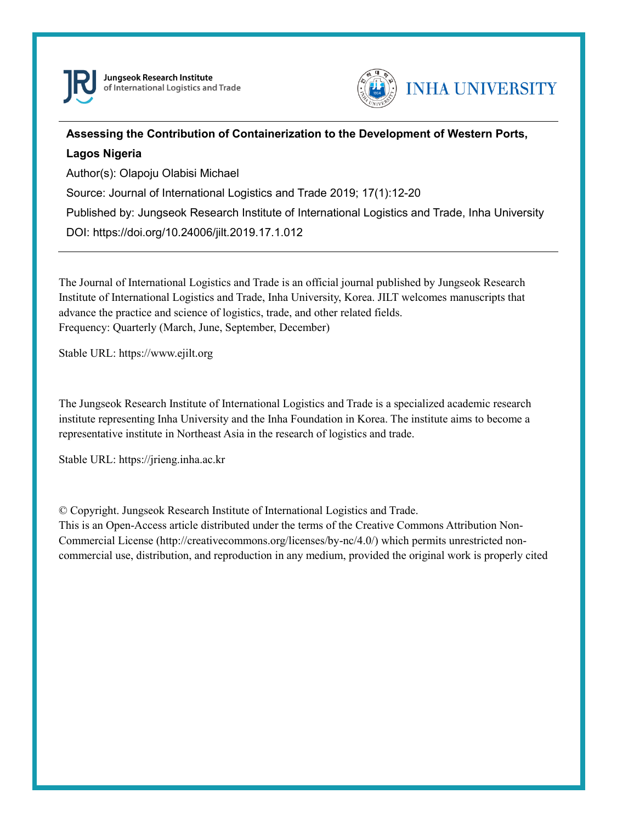



## **Assessing the Contribution of Containerization to the Development of Western Ports, Lagos Nigeria**

Author(s): Olapoju Olabisi Michael

Source: Journal of International Logistics and Trade 2019; 17(1):12-20

Published by: Jungseok Research Institute of International Logistics and Trade, Inha University

DOI: https://doi.org/10.24006/jilt.2019.17.1.012

The Journal of International Logistics and Trade is an official journal published by Jungseok Research Institute of International Logistics and Trade, Inha University, Korea. JILT welcomes manuscripts that advance the practice and science of logistics, trade, and other related fields. Frequency: Quarterly (March, June, September, December)

Stable URL: https://www.ejilt.org

The Jungseok Research Institute of International Logistics and Trade is a specialized academic research institute representing Inha University and the Inha Foundation in Korea. The institute aims to become a representative institute in Northeast Asia in the research of logistics and trade.

Stable URL: https://jrieng.inha.ac.kr

© Copyright. Jungseok Research Institute of International Logistics and Trade.

This is an Open-Access article distributed under the terms of the Creative Commons Attribution Non-Commercial License (http://creativecommons.org/licenses/by-nc/4.0/) which permits unrestricted noncommercial use, distribution, and reproduction in any medium, provided the original work is properly cited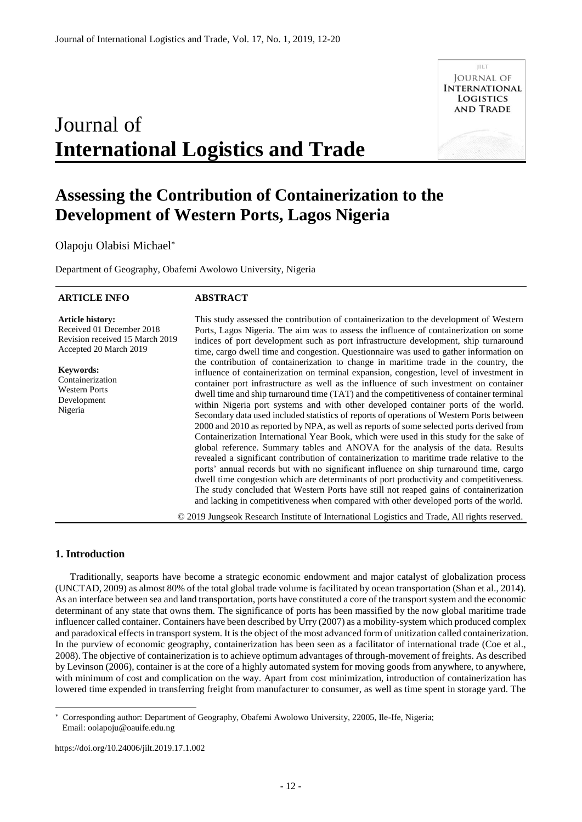# Journal of **International Logistics and Trade**

# **Assessing the Contribution of Containerization to the Development of Western Ports, Lagos Nigeria**

#### Olapoju Olabisi Michael

Department of Geography, Obafemi Awolowo University, Nigeria

#### **ARTICLE INFO**

#### **ABSTRACT**

**Article history:**  Received 01 December 2018 Revision received 15 March 2019 Accepted 20 March 2019

**Keywords:**  Containerization Western Ports Development Nigeria

This study assessed the contribution of containerization to the development of Western Ports, Lagos Nigeria. The aim was to assess the influence of containerization on some indices of port development such as port infrastructure development, ship turnaround time, cargo dwell time and congestion. Questionnaire was used to gather information on the contribution of containerization to change in maritime trade in the country, the influence of containerization on terminal expansion, congestion, level of investment in container port infrastructure as well as the influence of such investment on container dwell time and ship turnaround time (TAT) and the competitiveness of container terminal within Nigeria port systems and with other developed container ports of the world. Secondary data used included statistics of reports of operations of Western Ports between 2000 and 2010 as reported by NPA, as well as reports of some selected ports derived from Containerization International Year Book, which were used in this study for the sake of global reference. Summary tables and ANOVA for the analysis of the data. Results revealed a significant contribution of containerization to maritime trade relative to the ports' annual records but with no significant influence on ship turnaround time, cargo dwell time congestion which are determinants of port productivity and competitiveness. The study concluded that Western Ports have still not reaped gains of containerization and lacking in competitiveness when compared with other developed ports of the world.

© 2019 Jungseok Research Institute of International Logistics and Trade, All rights reserved.

#### **1. Introduction**

-

Traditionally, seaports have become a strategic economic endowment and major catalyst of globalization process (UNCTAD, 2009) as almost 80% of the total global trade volume is facilitated by ocean transportation (Shan et al., 2014). As an interface between sea and land transportation, ports have constituted a core of the transport system and the economic determinant of any state that owns them. The significance of ports has been massified by the now global maritime trade influencer called container. Containers have been described by Urry (2007) as a mobility-system which produced complex and paradoxical effects in transport system. It is the object of the most advanced form of unitization called containerization. In the purview of economic geography, containerization has been seen as a facilitator of international trade (Coe et al., 2008). The objective of containerization is to achieve optimum advantages of through-movement of freights. As described by Levinson (2006), container is at the core of a highly automated system for moving goods from anywhere, to anywhere, with minimum of cost and complication on the way. Apart from cost minimization, introduction of containerization has lowered time expended in transferring freight from manufacturer to consumer, as well as time spent in storage yard. The

**ILLT JOURNAL OF INTERNATIONAL LOGISTICS AND TRADE** 

Corresponding author: Department of Geography, Obafemi Awolowo University, 22005, Ile-Ife, Nigeria; Email: oolapoju@oauife.edu.ng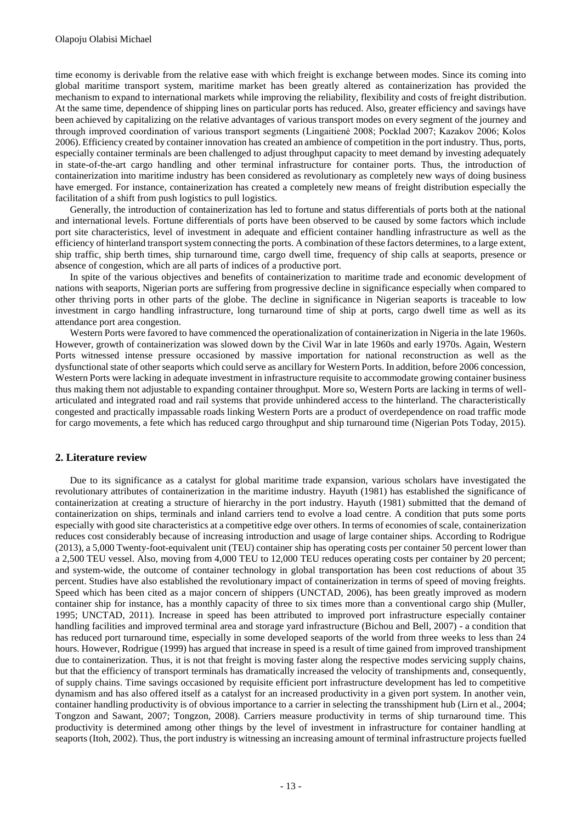time economy is derivable from the relative ease with which freight is exchange between modes. Since its coming into global maritime transport system, maritime market has been greatly altered as containerization has provided the mechanism to expand to international markets while improving the reliability, flexibility and costs of freight distribution. At the same time, dependence of shipping lines on particular ports has reduced. Also, greater efficiency and savings have been achieved by capitalizing on the relative advantages of various transport modes on every segment of the journey and through improved coordination of various transport segments (Lingaitienė 2008; Pocklad 2007; Kazakov 2006; Kolos 2006). Efficiency created by container innovation has created an ambience of competition in the port industry. Thus, ports, especially container terminals are been challenged to adjust throughput capacity to meet demand by investing adequately in state-of-the-art cargo handling and other terminal infrastructure for container ports. Thus, the introduction of containerization into maritime industry has been considered as revolutionary as completely new ways of doing business have emerged. For instance, containerization has created a completely new means of freight distribution especially the facilitation of a shift from push logistics to pull logistics.

Generally, the introduction of containerization has led to fortune and status differentials of ports both at the national and international levels. Fortune differentials of ports have been observed to be caused by some factors which include port site characteristics, level of investment in adequate and efficient container handling infrastructure as well as the efficiency of hinterland transport system connecting the ports. A combination of these factors determines, to a large extent, ship traffic, ship berth times, ship turnaround time, cargo dwell time, frequency of ship calls at seaports, presence or absence of congestion, which are all parts of indices of a productive port.

In spite of the various objectives and benefits of containerization to maritime trade and economic development of nations with seaports, Nigerian ports are suffering from progressive decline in significance especially when compared to other thriving ports in other parts of the globe. The decline in significance in Nigerian seaports is traceable to low investment in cargo handling infrastructure, long turnaround time of ship at ports, cargo dwell time as well as its attendance port area congestion.

Western Ports were favored to have commenced the operationalization of containerization in Nigeria in the late 1960s. However, growth of containerization was slowed down by the Civil War in late 1960s and early 1970s. Again, Western Ports witnessed intense pressure occasioned by massive importation for national reconstruction as well as the dysfunctional state of other seaports which could serve as ancillary for Western Ports. In addition, before 2006 concession, Western Ports were lacking in adequate investment in infrastructure requisite to accommodate growing container business thus making them not adjustable to expanding container throughput. More so, Western Ports are lacking in terms of wellarticulated and integrated road and rail systems that provide unhindered access to the hinterland. The characteristically congested and practically impassable roads linking Western Ports are a product of overdependence on road traffic mode for cargo movements, a fete which has reduced cargo throughput and ship turnaround time (Nigerian Pots Today, 2015).

#### **2. Literature review**

Due to its significance as a catalyst for global maritime trade expansion, various scholars have investigated the revolutionary attributes of containerization in the maritime industry. Hayuth (1981) has established the significance of containerization at creating a structure of hierarchy in the port industry. Hayuth (1981) submitted that the demand of containerization on ships, terminals and inland carriers tend to evolve a load centre. A condition that puts some ports especially with good site characteristics at a competitive edge over others. In terms of economies of scale, containerization reduces cost considerably because of increasing introduction and usage of large container ships. According to Rodrigue (2013), a 5,000 Twenty-foot-equivalent unit (TEU) container ship has operating costs per container 50 percent lower than a 2,500 TEU vessel. Also, moving from 4,000 TEU to 12,000 TEU reduces operating costs per container by 20 percent; and system-wide, the outcome of container technology in global transportation has been cost reductions of about 35 percent. Studies have also established the revolutionary impact of containerization in terms of speed of moving freights. Speed which has been cited as a major concern of shippers (UNCTAD, 2006), has been greatly improved as modern container ship for instance, has a monthly capacity of three to six times more than a conventional cargo ship (Muller, 1995; UNCTAD, 2011). Increase in speed has been attributed to improved port infrastructure especially container handling facilities and improved terminal area and storage yard infrastructure (Bichou and Bell, 2007) - a condition that has reduced port turnaround time, especially in some developed seaports of the world from three weeks to less than 24 hours. However, Rodrigue (1999) has argued that increase in speed is a result of time gained from improved transhipment due to containerization. Thus, it is not that freight is moving faster along the respective modes servicing supply chains, but that the efficiency of transport terminals has dramatically increased the velocity of transhipments and, consequently, of supply chains. Time savings occasioned by requisite efficient port infrastructure development has led to competitive dynamism and has also offered itself as a catalyst for an increased productivity in a given port system. In another vein, container handling productivity is of obvious importance to a carrier in selecting the transshipment hub (Lirn et al., 2004; Tongzon and Sawant, 2007; Tongzon, 2008). Carriers measure productivity in terms of ship turnaround time. This productivity is determined among other things by the level of investment in infrastructure for container handling at seaports (Itoh, 2002). Thus, the port industry is witnessing an increasing amount of terminal infrastructure projects fuelled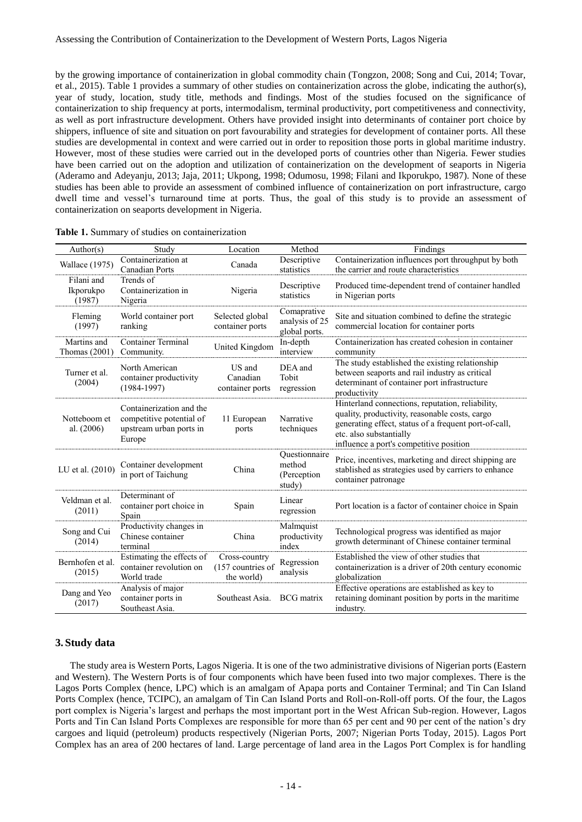by the growing importance of containerization in global commodity chain (Tongzon, 2008; Song and Cui, 2014; Tovar, et al., 2015). Table 1 provides a summary of other studies on containerization across the globe, indicating the author(s), year of study, location, study title, methods and findings. Most of the studies focused on the significance of containerization to ship frequency at ports, intermodalism, terminal productivity, port competitiveness and connectivity, as well as port infrastructure development. Others have provided insight into determinants of container port choice by shippers, influence of site and situation on port favourability and strategies for development of container ports. All these studies are developmental in context and were carried out in order to reposition those ports in global maritime industry. However, most of these studies were carried out in the developed ports of countries other than Nigeria. Fewer studies have been carried out on the adoption and utilization of containerization on the development of seaports in Nigeria (Aderamo and Adeyanju, 2013; Jaja, 2011; Ukpong, 1998; Odumosu, 1998; Filani and Ikporukpo, 1987). None of these studies has been able to provide an assessment of combined influence of containerization on port infrastructure, cargo dwell time and vessel's turnaround time at ports. Thus, the goal of this study is to provide an assessment of containerization on seaports development in Nigeria.

| Author(s)                         | Study                                                                                     | Location                                         | Method                                           | Findings                                                                                                                                                                                                                          |
|-----------------------------------|-------------------------------------------------------------------------------------------|--------------------------------------------------|--------------------------------------------------|-----------------------------------------------------------------------------------------------------------------------------------------------------------------------------------------------------------------------------------|
| <b>Wallace</b> (1975)             | Containerization at<br>Canadian Ports                                                     | Canada                                           | Descriptive<br>statistics                        | Containerization influences port throughput by both<br>the carrier and route characteristics                                                                                                                                      |
| Filani and<br>Ikporukpo<br>(1987) | Trends of<br>Containerization in<br>Nigeria                                               | Nigeria                                          | Descriptive<br>statistics                        | Produced time-dependent trend of container handled<br>in Nigerian ports                                                                                                                                                           |
| Fleming<br>(1997)                 | World container port<br>ranking                                                           | Selected global<br>container ports               | Comaprative<br>analysis of 25<br>global ports.   | Site and situation combined to define the strategic<br>commercial location for container ports                                                                                                                                    |
| Martins and<br>Thomas $(2001)$    | <b>Container Terminal</b><br>Community.                                                   | United Kingdom                                   | In-depth<br>interview                            | Containerization has created cohesion in container<br>community                                                                                                                                                                   |
| Turner et al.<br>(2004)           | North American<br>container productivity<br>$(1984-1997)$                                 | US and<br>Canadian<br>container ports            | DEA and<br>Tobit<br>regression                   | The study established the existing relationship<br>between seaports and rail industry as critical<br>determinant of container port infrastructure<br>productivity                                                                 |
| Notteboom et<br>al. $(2006)$      | Containerization and the<br>competitive potential of<br>upstream urban ports in<br>Europe | 11 European<br>ports                             | Narrative<br>techniques                          | Hinterland connections, reputation, reliability,<br>quality, productivity, reasonable costs, cargo<br>generating effect, status of a frequent port-of-call,<br>etc. also substantially<br>influence a port's competitive position |
| LU et al. (2010)                  | Container development<br>in port of Taichung                                              | China                                            | Ouestionnaire<br>method<br>(Perception<br>study) | Price, incentives, marketing and direct shipping are<br>stablished as strategies used by carriers to enhance<br>container patronage                                                                                               |
| Veldman et al.<br>(2011)          | Determinant of<br>container port choice in<br>Spain                                       | Spain                                            | Linear<br>regression                             | Port location is a factor of container choice in Spain                                                                                                                                                                            |
| Song and Cui<br>(2014)            | Productivity changes in<br>Chinese container<br>terminal                                  | China                                            | Malmquist<br>productivity<br>index               | Technological progress was identified as major<br>growth determinant of Chinese container terminal                                                                                                                                |
| Bernhofen et al.<br>(2015)        | Estimating the effects of<br>container revolution on<br>World trade                       | Cross-country<br>(157 countries of<br>the world) | Regression<br>analysis                           | Established the view of other studies that<br>containerization is a driver of 20th century economic<br>globalization                                                                                                              |
| Dang and Yeo<br>(2017)            | Analysis of major<br>container ports in<br>Southeast Asia.                                | Southeast Asia.                                  | <b>BCG</b> matrix                                | Effective operations are established as key to<br>retaining dominant position by ports in the maritime<br>industry.                                                                                                               |

|  |  |  | Table 1. Summary of studies on containerization |  |  |  |  |  |  |
|--|--|--|-------------------------------------------------|--|--|--|--|--|--|
|--|--|--|-------------------------------------------------|--|--|--|--|--|--|

#### **3. Study data**

The study area is Western Ports, Lagos Nigeria. It is one of the two administrative divisions of Nigerian ports (Eastern and Western). The Western Ports is of four components which have been fused into two major complexes. There is the Lagos Ports Complex (hence, LPC) which is an amalgam of Apapa ports and Container Terminal; and Tin Can Island Ports Complex (hence, TCIPC), an amalgam of Tin Can Island Ports and Roll-on-Roll-off ports. Of the four, the Lagos port complex is Nigeria's largest and perhaps the most important port in the West African Sub-region. However, Lagos Ports and Tin Can Island Ports Complexes are responsible for more than 65 per cent and 90 per cent of the nation's dry cargoes and liquid (petroleum) products respectively (Nigerian Ports, 2007; Nigerian Ports Today, 2015). Lagos Port Complex has an area of 200 hectares of land. Large percentage of land area in the Lagos Port Complex is for handling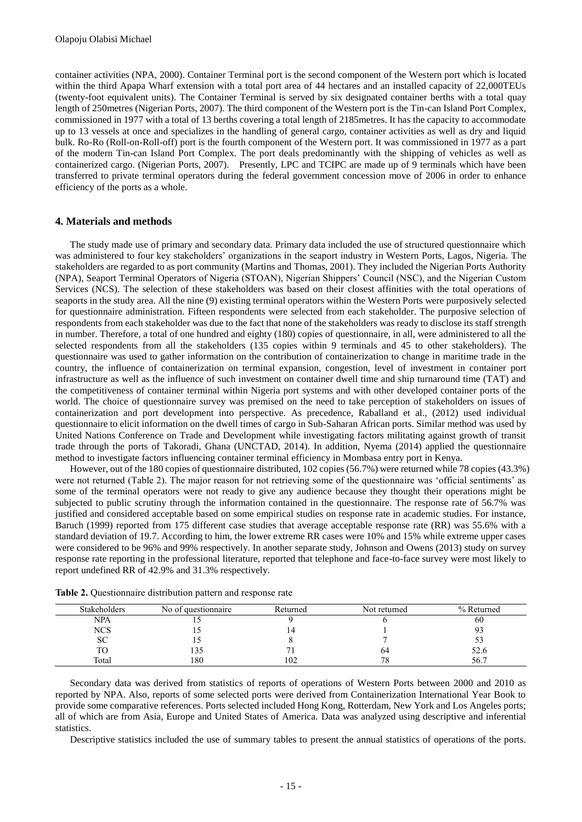container activities (NPA, 2000). Container Terminal port is the second component of the Western port which is located within the third Apapa Wharf extension with a total port area of 44 hectares and an installed capacity of 22,000TEUs (twenty-foot equivalent units). The Container Terminal is served by six designated container berths with a total quay length of 250metres (Nigerian Ports, 2007). The third component of the Western port is the Tin-can Island Port Complex, commissioned in 1977 with a total of 13 berths covering a total length of 2185metres. It has the capacity to accommodate up to 13 vessels at once and specializes in the handling of general cargo, container activities as well as dry and liquid bulk. Ro-Ro (Roll-on-Roll-off) port is the fourth component of the Western port. It was commissioned in 1977 as a part of the modern Tin-can Island Port Complex. The port deals predominantly with the shipping of vehicles as well as containerized cargo. (Nigerian Ports, 2007). Presently, LPC and TCIPC are made up of 9 terminals which have been transferred to private terminal operators during the federal government concession move of 2006 in order to enhance efficiency of the ports as a whole.

#### **4. Materials and methods**

The study made use of primary and secondary data. Primary data included the use of structured questionnaire which was administered to four key stakeholders' organizations in the seaport industry in Western Ports, Lagos, Nigeria. The stakeholders are regarded to as port community (Martins and Thomas, 2001). They included the Nigerian Ports Authority (NPA), Seaport Terminal Operators of Nigeria (STOAN), Nigerian Shippers' Council (NSC), and the Nigerian Custom Services (NCS). The selection of these stakeholders was based on their closest affinities with the total operations of seaports in the study area. All the nine (9) existing terminal operators within the Western Ports were purposively selected for questionnaire administration. Fifteen respondents were selected from each stakeholder. The purposive selection of respondents from each stakeholder was due to the fact that none of the stakeholders was ready to disclose its staff strength in number. Therefore, a total of one hundred and eighty (180) copies of questionnaire, in all, were administered to all the selected respondents from all the stakeholders (135 copies within 9 terminals and 45 to other stakeholders). The questionnaire was used to gather information on the contribution of containerization to change in maritime trade in the country, the influence of containerization on terminal expansion, congestion, level of investment in container port infrastructure as well as the influence of such investment on container dwell time and ship turnaround time (TAT) and the competitiveness of container terminal within Nigeria port systems and with other developed container ports of the world. The choice of questionnaire survey was premised on the need to take perception of stakeholders on issues of containerization and port development into perspective. As precedence, Raballand et al., (2012) used individual questionnaire to elicit information on the dwell times of cargo in Sub-Saharan African ports. Similar method was used by United Nations Conference on Trade and Development while investigating factors militating against growth of transit trade through the ports of Takoradi, Ghana (UNCTAD, 2014). In addition, Nyema (2014) applied the questionnaire method to investigate factors influencing container terminal efficiency in Mombasa entry port in Kenya.

However, out of the 180 copies of questionnaire distributed, 102 copies (56.7%) were returned while 78 copies (43.3%) were not returned (Table 2). The major reason for not retrieving some of the questionnaire was 'official sentiments' as some of the terminal operators were not ready to give any audience because they thought their operations might be subjected to public scrutiny through the information contained in the questionnaire. The response rate of 56.7% was justified and considered acceptable based on some empirical studies on response rate in academic studies. For instance, Baruch (1999) reported from 175 different case studies that average acceptable response rate (RR) was 55.6% with a standard deviation of 19.7. According to him, the lower extreme RR cases were 10% and 15% while extreme upper cases were considered to be 96% and 99% respectively. In another separate study, Johnson and Owens (2013) study on survey response rate reporting in the professional literature, reported that telephone and face-to-face survey were most likely to report undefined RR of 42.9% and 31.3% respectively.

| <b>Stakeholders</b> | No of question aire | Returned | Not returned | % Returned |
|---------------------|---------------------|----------|--------------|------------|
| <b>NPA</b>          |                     |          |              | 60         |
| <b>NCS</b>          |                     |          |              |            |
| v                   |                     |          |              |            |
|                     | 133                 |          | 64           | 52.6       |
| Total               | 180                 | 102      | 78           | 56.7       |

**Table 2.** Questionnaire distribution pattern and response rate

Secondary data was derived from statistics of reports of operations of Western Ports between 2000 and 2010 as reported by NPA. Also, reports of some selected ports were derived from Containerization International Year Book to provide some comparative references. Ports selected included Hong Kong, Rotterdam, New York and Los Angeles ports; all of which are from Asia, Europe and United States of America. Data was analyzed using descriptive and inferential statistics.

Descriptive statistics included the use of summary tables to present the annual statistics of operations of the ports.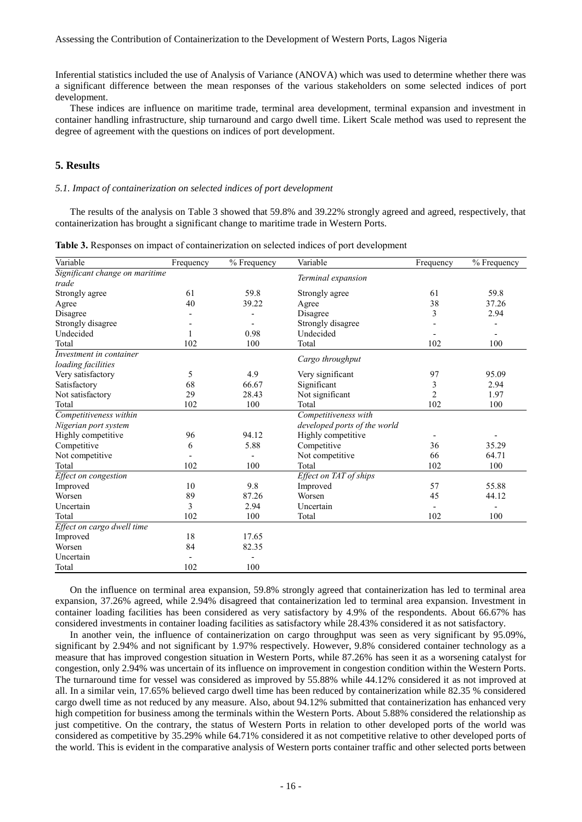Inferential statistics included the use of Analysis of Variance (ANOVA) which was used to determine whether there was a significant difference between the mean responses of the various stakeholders on some selected indices of port development.

These indices are influence on maritime trade, terminal area development, terminal expansion and investment in container handling infrastructure, ship turnaround and cargo dwell time. Likert Scale method was used to represent the degree of agreement with the questions on indices of port development.

### **5. Results**

#### *5.1. Impact of containerization on selected indices of port development*

The results of the analysis on Table 3 showed that 59.8% and 39.22% strongly agreed and agreed, respectively, that containerization has brought a significant change to maritime trade in Western Ports.

|  |  |  | <b>Table 3.</b> Responses on impact of containerization on selected indices of port development |  |  |
|--|--|--|-------------------------------------------------------------------------------------------------|--|--|
|--|--|--|-------------------------------------------------------------------------------------------------|--|--|

| Variable                       | Frequency | % Frequency | Variable                     | Frequency      | % Frequency |
|--------------------------------|-----------|-------------|------------------------------|----------------|-------------|
| Significant change on maritime |           |             | Terminal expansion           |                |             |
| trade                          |           |             |                              |                |             |
| Strongly agree                 | 61        | 59.8        | Strongly agree               | 61             | 59.8        |
| Agree                          | 40        | 39.22       | Agree                        | 38             | 37.26       |
| Disagree                       |           |             | Disagree                     | 3              | 2.94        |
| Strongly disagree              |           |             | Strongly disagree            |                |             |
| Undecided                      |           | 0.98        | Undecided                    |                |             |
| Total                          | 102       | 100         | Total                        | 102            | 100         |
| Investment in container        |           |             | Cargo throughput             |                |             |
| loading facilities             |           |             |                              |                |             |
| Very satisfactory              | 5         | 4.9         | Very significant             | 97             | 95.09       |
| Satisfactory                   | 68        | 66.67       | Significant                  | 3              | 2.94        |
| Not satisfactory               | 29        | 28.43       | Not significant              | $\overline{2}$ | 1.97        |
| Total                          | 102       | 100         | Total                        | 102            | 100         |
| Competitiveness within         |           |             | Competitiveness with         |                |             |
| Nigerian port system           |           |             | developed ports of the world |                |             |
| Highly competitive             | 96        | 94.12       | Highly competitive           |                |             |
| Competitive                    | 6         | 5.88        | Competitive                  | 36             | 35.29       |
| Not competitive                |           |             | Not competitive              | 66             | 64.71       |
| Total                          | 102       | 100         | Total                        | 102            | 100         |
| Effect on congestion           |           |             | Effect on TAT of ships       |                |             |
| Improved                       | 10        | 9.8         | Improved                     | 57             | 55.88       |
| Worsen                         | 89        | 87.26       | Worsen                       | 45             | 44.12       |
| Uncertain                      | 3         | 2.94        | Uncertain                    |                |             |
| Total                          | 102       | 100         | Total                        | 102            | 100         |
| Effect on cargo dwell time     |           |             |                              |                |             |
| Improved                       | 18        | 17.65       |                              |                |             |
| Worsen                         | 84        | 82.35       |                              |                |             |
| Uncertain                      |           |             |                              |                |             |
| Total                          | 102       | 100         |                              |                |             |

On the influence on terminal area expansion, 59.8% strongly agreed that containerization has led to terminal area expansion, 37.26% agreed, while 2.94% disagreed that containerization led to terminal area expansion. Investment in container loading facilities has been considered as very satisfactory by 4.9% of the respondents. About 66.67% has considered investments in container loading facilities as satisfactory while 28.43% considered it as not satisfactory.

In another vein, the influence of containerization on cargo throughput was seen as very significant by 95.09%, significant by 2.94% and not significant by 1.97% respectively. However, 9.8% considered container technology as a measure that has improved congestion situation in Western Ports, while 87.26% has seen it as a worsening catalyst for congestion, only 2.94% was uncertain of its influence on improvement in congestion condition within the Western Ports. The turnaround time for vessel was considered as improved by 55.88% while 44.12% considered it as not improved at all. In a similar vein, 17.65% believed cargo dwell time has been reduced by containerization while 82.35 % considered cargo dwell time as not reduced by any measure. Also, about 94.12% submitted that containerization has enhanced very high competition for business among the terminals within the Western Ports. About 5.88% considered the relationship as just competitive. On the contrary, the status of Western Ports in relation to other developed ports of the world was considered as competitive by 35.29% while 64.71% considered it as not competitive relative to other developed ports of the world. This is evident in the comparative analysis of Western ports container traffic and other selected ports between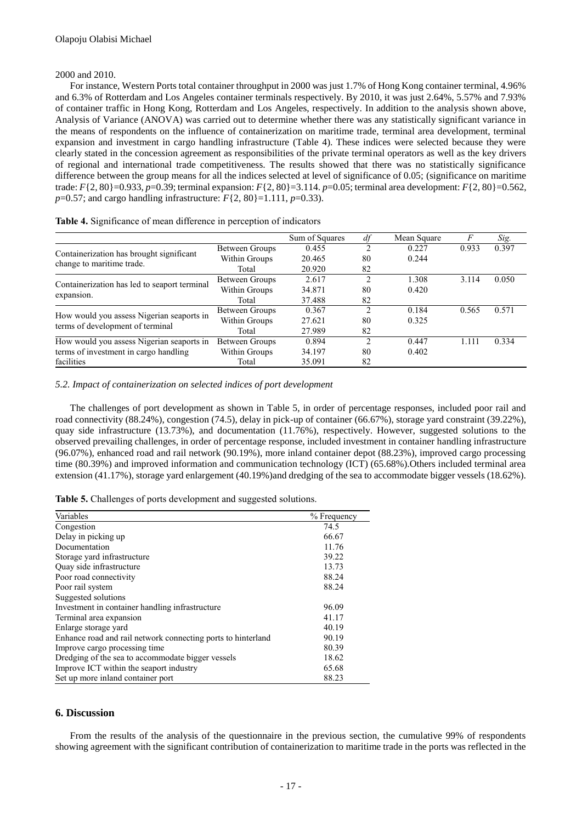#### 2000 and 2010.

For instance, Western Ports total container throughput in 2000 was just 1.7% of Hong Kong container terminal, 4.96% and 6.3% of Rotterdam and Los Angeles container terminals respectively. By 2010, it was just 2.64%, 5.57% and 7.93% of container traffic in Hong Kong, Rotterdam and Los Angeles, respectively. In addition to the analysis shown above, Analysis of Variance (ANOVA) was carried out to determine whether there was any statistically significant variance in the means of respondents on the influence of containerization on maritime trade, terminal area development, terminal expansion and investment in cargo handling infrastructure (Table 4). These indices were selected because they were clearly stated in the concession agreement as responsibilities of the private terminal operators as well as the key drivers of regional and international trade competitiveness. The results showed that there was no statistically significance difference between the group means for all the indices selected at level of significance of 0.05; (significance on maritime trade: *F*{2, 80}=0.933, *p*=0.39; terminal expansion: *F*{2, 80}=3.114. *p*=0.05; terminal area development: *F*{2, 80}=0.562, *p*=0.57; and cargo handling infrastructure:  $F\{2, 80\}$ =1.111, *p*=0.33).

|                                              |                | Sum of Squares |    | Mean Square |       | Sig.  |
|----------------------------------------------|----------------|----------------|----|-------------|-------|-------|
|                                              | Between Groups | 0.455          |    | 0.227       | 0.933 | 0.397 |
| Containerization has brought significant     | Within Groups  | 20.465         | 80 | 0.244       |       |       |
| change to maritime trade.                    | Total          | 20.920         | 82 |             |       |       |
|                                              | Between Groups | 2.617          |    | 1.308       | 3.114 | 0.050 |
| Containerization has led to seaport terminal | Within Groups  | 34.871         | 80 | 0.420       |       |       |
| expansion.                                   | Total          | 37.488         |    |             |       |       |
|                                              | Between Groups | 0.367          |    | 0.184       | 0.565 | 0.571 |
| How would you assess Nigerian seaports in    | Within Groups  | 27.621         | 80 | 0.325       |       |       |
| terms of development of terminal             | Total          | 27.989         | 82 |             |       |       |
| How would you assess Nigerian seaports in    | Between Groups | 0.894          |    | 0.447       | 1.111 | 0.334 |
| terms of investment in cargo handling        | Within Groups  | 34.197         | 80 | 0.402       |       |       |
| facilities                                   | Total          | 35.091         |    |             |       |       |

**Table 4.** Significance of mean difference in perception of indicators

#### *5.2. Impact of containerization on selected indices of port development*

The challenges of port development as shown in Table 5, in order of percentage responses, included poor rail and road connectivity (88.24%), congestion (74.5), delay in pick-up of container (66.67%), storage yard constraint (39.22%), quay side infrastructure (13.73%), and documentation (11.76%), respectively. However, suggested solutions to the observed prevailing challenges, in order of percentage response, included investment in container handling infrastructure (96.07%), enhanced road and rail network (90.19%), more inland container depot (88.23%), improved cargo processing time (80.39%) and improved information and communication technology (ICT) (65.68%).Others included terminal area extension (41.17%), storage yard enlargement (40.19%)and dredging of the sea to accommodate bigger vessels (18.62%).

| Table 5. Challenges of ports development and suggested solutions. |  |  |  |
|-------------------------------------------------------------------|--|--|--|
|                                                                   |  |  |  |

| Variables                                                    | % Frequency |
|--------------------------------------------------------------|-------------|
| Congestion                                                   | 74.5        |
| Delay in picking up                                          | 66.67       |
| Documentation                                                | 11.76       |
| Storage yard infrastructure                                  | 39.22       |
| Quay side infrastructure                                     | 13.73       |
| Poor road connectivity                                       | 88.24       |
| Poor rail system                                             | 88.24       |
| Suggested solutions                                          |             |
| Investment in container handling infrastructure              | 96.09       |
| Terminal area expansion                                      | 41.17       |
| Enlarge storage yard                                         | 40.19       |
| Enhance road and rail network connecting ports to hinterland | 90.19       |
| Improve cargo processing time                                | 80.39       |
| Dredging of the sea to accommodate bigger vessels            | 18.62       |
| Improve ICT within the seaport industry                      | 65.68       |
| Set up more inland container port                            | 88.23       |

#### **6. Discussion**

From the results of the analysis of the questionnaire in the previous section, the cumulative 99% of respondents showing agreement with the significant contribution of containerization to maritime trade in the ports was reflected in the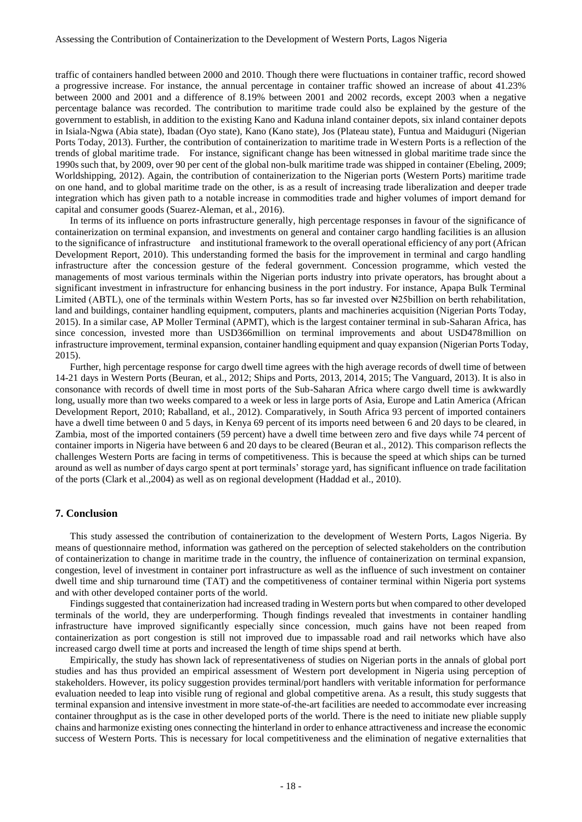traffic of containers handled between 2000 and 2010. Though there were fluctuations in container traffic, record showed a progressive increase. For instance, the annual percentage in container traffic showed an increase of about 41.23% between 2000 and 2001 and a difference of 8.19% between 2001 and 2002 records, except 2003 when a negative percentage balance was recorded. The contribution to maritime trade could also be explained by the gesture of the government to establish, in addition to the existing Kano and Kaduna inland container depots, six inland container depots in Isiala-Ngwa (Abia state), Ibadan (Oyo state), Kano (Kano state), Jos (Plateau state), Funtua and Maiduguri (Nigerian Ports Today, 2013). Further, the contribution of containerization to maritime trade in Western Ports is a reflection of the trends of global maritime trade. For instance, significant change has been witnessed in global maritime trade since the 1990s such that, by 2009, over 90 per cent of the global non-bulk maritime trade was shipped in container (Ebeling, 2009; Worldshipping, 2012). Again, the contribution of containerization to the Nigerian ports (Western Ports) maritime trade on one hand, and to global maritime trade on the other, is as a result of increasing trade liberalization and deeper trade integration which has given path to a notable increase in commodities trade and higher volumes of import demand for capital and consumer goods (Suarez-Aleman, et al., 2016).

In terms of its influence on ports infrastructure generally, high percentage responses in favour of the significance of containerization on terminal expansion, and investments on general and container cargo handling facilities is an allusion to the significance of infrastructure and institutional framework to the overall operational efficiency of any port (African Development Report, 2010). This understanding formed the basis for the improvement in terminal and cargo handling infrastructure after the concession gesture of the federal government. Concession programme, which vested the managements of most various terminals within the Nigerian ports industry into private operators, has brought about a significant investment in infrastructure for enhancing business in the port industry. For instance, Apapa Bulk Terminal Limited (ABTL), one of the terminals within Western Ports, has so far invested over New 25billion on berth rehabilitation, land and buildings, container handling equipment, computers, plants and machineries acquisition (Nigerian Ports Today, 2015). In a similar case, AP Moller Terminal (APMT), which is the largest container terminal in sub-Saharan Africa, has since concession, invested more than USD366million on terminal improvements and about USD478million on infrastructure improvement, terminal expansion, container handling equipment and quay expansion (Nigerian Ports Today, 2015).

Further, high percentage response for cargo dwell time agrees with the high average records of dwell time of between 14-21 days in Western Ports (Beuran, et al., 2012; Ships and Ports, 2013, 2014, 2015; The Vanguard, 2013). It is also in consonance with records of dwell time in most ports of the Sub-Saharan Africa where cargo dwell time is awkwardly long, usually more than two weeks compared to a week or less in large ports of Asia, Europe and Latin America (African Development Report, 2010; Raballand, et al., 2012). Comparatively, in South Africa 93 percent of imported containers have a dwell time between 0 and 5 days, in Kenya 69 percent of its imports need between 6 and 20 days to be cleared, in Zambia, most of the imported containers (59 percent) have a dwell time between zero and five days while 74 percent of container imports in Nigeria have between 6 and 20 days to be cleared (Beuran et al., 2012). This comparison reflects the challenges Western Ports are facing in terms of competitiveness. This is because the speed at which ships can be turned around as well as number of days cargo spent at port terminals' storage yard, has significant influence on trade facilitation of the ports (Clark et al.,2004) as well as on regional development (Haddad et al., 2010).

#### **7. Conclusion**

This study assessed the contribution of containerization to the development of Western Ports, Lagos Nigeria. By means of questionnaire method, information was gathered on the perception of selected stakeholders on the contribution of containerization to change in maritime trade in the country, the influence of containerization on terminal expansion, congestion, level of investment in container port infrastructure as well as the influence of such investment on container dwell time and ship turnaround time (TAT) and the competitiveness of container terminal within Nigeria port systems and with other developed container ports of the world.

Findings suggested that containerization had increased trading in Western ports but when compared to other developed terminals of the world, they are underperforming. Though findings revealed that investments in container handling infrastructure have improved significantly especially since concession, much gains have not been reaped from containerization as port congestion is still not improved due to impassable road and rail networks which have also increased cargo dwell time at ports and increased the length of time ships spend at berth.

Empirically, the study has shown lack of representativeness of studies on Nigerian ports in the annals of global port studies and has thus provided an empirical assessment of Western port development in Nigeria using perception of stakeholders. However, its policy suggestion provides terminal/port handlers with veritable information for performance evaluation needed to leap into visible rung of regional and global competitive arena. As a result, this study suggests that terminal expansion and intensive investment in more state-of-the-art facilities are needed to accommodate ever increasing container throughput as is the case in other developed ports of the world. There is the need to initiate new pliable supply chains and harmonize existing ones connecting the hinterland in order to enhance attractiveness and increase the economic success of Western Ports. This is necessary for local competitiveness and the elimination of negative externalities that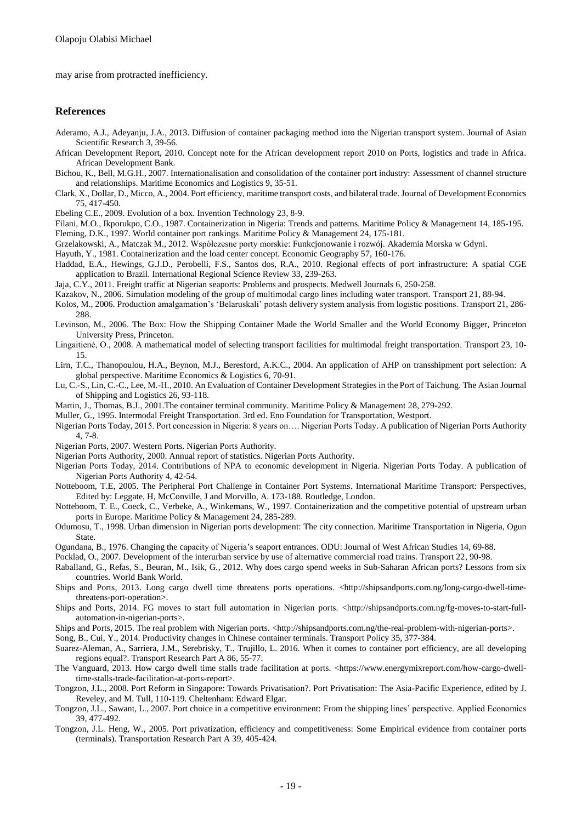may arise from protracted inefficiency.

#### **References**

- Aderamo, A.J., Adeyanju, J.A., 2013. Diffusion of container packaging method into the Nigerian transport system. Journal of Asian Scientific Research 3, 39-56.
- African Development Report, 2010. Concept note for the African development report 2010 on Ports, logistics and trade in Africa. African Development Bank.
- Bichou, K., Bell, M.G.H., 2007. Internationalisation and consolidation of the container port industry: Assessment of channel structure and relationships. Maritime Economics and Logistics 9, 35-51.
- Clark, X., Dollar, D., Micco, A., 2004. Port efficiency, maritime transport costs, and bilateral trade. Journal of Development Economics 75, 417-450.
- Ebeling C.E., 2009. Evolution of a box. Invention Technology 23, 8-9.
- Filani, M.O., Ikporukpo, C.O., 1987. Containerization in Nigeria: Trends and patterns. Maritime Policy & Management 14, 185-195. Fleming, D.K., 1997. World container port rankings. Maritime Policy & Management 24, 175-181.
- Grzelakowski, A., Matczak M., 2012. Współczesne porty morskie: Funkcjonowanie i rozwój. Akademia Morska w Gdyni.
- Hayuth, Y., 1981. Containerization and the load center concept. Economic Geography 57, 160-176.
- Haddad, E.A., Hewings, G.J.D., Perobelli, F.S., Santos dos, R.A., 2010. Regional effects of port infrastructure: A spatial CGE application to Brazil. International Regional Science Review 33, 239-263.
- Jaja, C.Y., 2011. Freight traffic at Nigerian seaports: Problems and prospects. Medwell Journals 6, 250-258.
- Kazakov, N., 2006. Simulation modeling of the group of multimodal cargo lines including water transport. Transport 21, 88-94.
- Kolos, M., 2006. Production amalgamation's 'Belaruskali' potash delivery system analysis from logistic positions. Transport 21, 286- 288.
- Levinson, M., 2006. The Box: How the Shipping Container Made the World Smaller and the World Economy Bigger, Princeton University Press, Princeton.
- Lingaitienė, O., 2008. A mathematical model of selecting transport facilities for multimodal freight transportation. Transport 23, 10- 15.
- Lirn, T.C., Thanopoulou, H.A., Beynon, M.J., Beresford, A.K.C., 2004. An application of AHP on transshipment port selection: A global perspective. Maritime Economics & Logistics 6, 70-91.
- Lu, C.-S., Lin, C.-C., Lee, M.-H., 2010. An Evaluation of Container Development Strategies in the Port of Taichung. The Asian Journal of Shipping and Logistics 26, 93-118.
- Martin, J., Thomas, B.J., 2001.The container terminal community. Maritime Policy & Management 28, 279-292.
- Muller, G., 1995. Intermodal Freight Transportation. 3rd ed. Eno Foundation for Transportation, Westport.
- Nigerian Ports Today, 2015. Port concession in Nigeria: 8 years on…. Nigerian Ports Today. A publication of Nigerian Ports Authority 4, 7-8.
- Nigerian Ports, 2007. Western Ports. Nigerian Ports Authority.
- Nigerian Ports Authority, 2000. Annual report of statistics. Nigerian Ports Authority.
- Nigerian Ports Today, 2014. Contributions of NPA to economic development in Nigeria. Nigerian Ports Today. A publication of Nigerian Ports Authority 4, 42-54.
- Notteboom, T.E, 2005. The Peripheral Port Challenge in Container Port Systems. International Maritime Transport: Perspectives, Edited by: Leggate, H, McConville, J and Morvillo, A. 173-188. Routledge, London.
- Notteboom, T. E., Coeck, C., Verbeke, A., Winkemans, W., 1997. Containerization and the competitive potential of upstream urban ports in Europe. Maritime Policy & Management 24, 285-289.
- Odumosu, T., 1998. Urban dimension in Nigerian ports development: The city connection. Maritime Transportation in Nigeria, Ogun State.
- Ogundana, B., 1976. Changing the capacity of Nigeria's seaport entrances. ODU: Journal of West African Studies 14, 69-88.
- Pocklad, O., 2007. Development of the interurban service by use of alternative commercial road trains. Transport 22, 90-98.
- Raballand, G., Refas, S., Beuran, M., Isik, G., 2012. Why does cargo spend weeks in Sub-Saharan African ports? Lessons from six countries. World Bank World.
- Ships and Ports, 2013. Long cargo dwell time threatens ports operations. <http://shipsandports.com.ng/long-cargo-dwell-timethreatens-port-operation>.
- Ships and Ports, 2014. FG moves to start full automation in Nigerian ports. <http://shipsandports.com.ng/fg-moves-to-start-fullautomation-in-nigerian-ports>.
- Ships and Ports, 2015. The real problem with Nigerian ports. <http://shipsandports.com.ng/the-real-problem-with-nigerian-ports>.
- Song, B., Cui, Y., 2014. Productivity changes in Chinese container terminals. Transport Policy 35, 377-384.
- Suarez-Aleman, A., Sarriera, J.M., Serebrisky, T., Trujillo, L. 2016. When it comes to container port efficiency, are all developing regions equal?. Transport Research Part A 86, 55-77.
- The Vanguard, 2013. How cargo dwell time stalls trade facilitation at ports. <https://www.energymixreport.com/how-cargo-dwelltime-stalls-trade-facilitation-at-ports-report>.
- Tongzon, J.L., 2008. Port Reform in Singapore: Towards Privatisation?. Port Privatisation: The Asia-Pacific Experience, edited by J. Reveley, and M. Tull, 110-119. Cheltenham: Edward Elgar.
- Tongzon, J.L., Sawant, L., 2007. Port choice in a competitive environment: From the shipping lines' perspective. Applied Economics 39, 477-492.
- Tongzon, J.L. Heng, W., 2005. Port privatization, efficiency and competitiveness: Some Empirical evidence from container ports (terminals). Transportation Research Part A 39, 405-424.